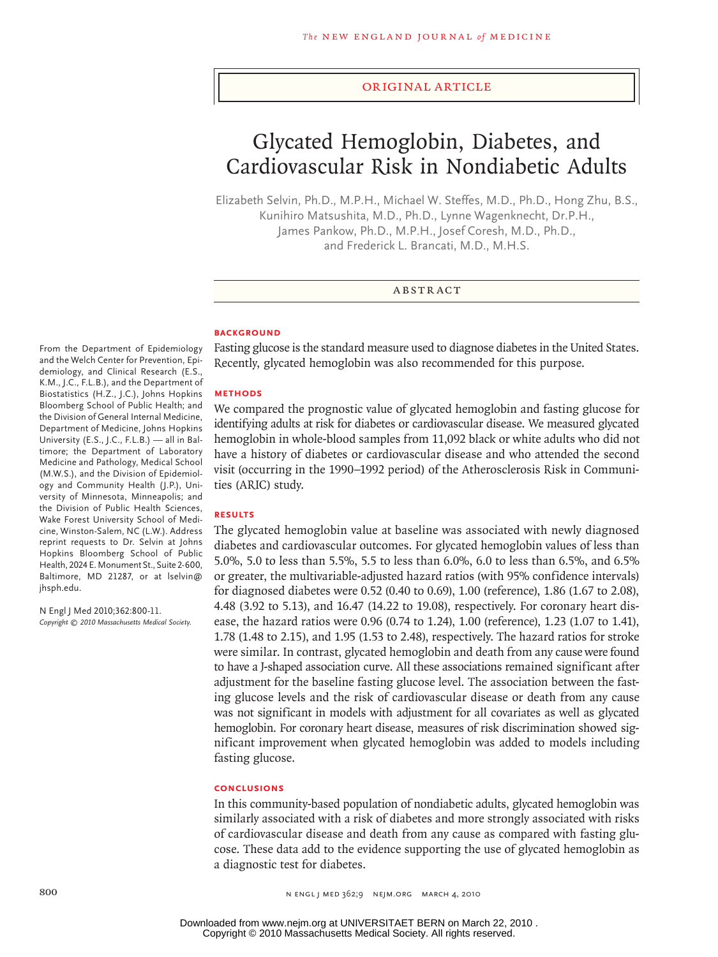#### original article

# Glycated Hemoglobin, Diabetes, and Cardiovascular Risk in Nondiabetic Adults

Elizabeth Selvin, Ph.D., M.P.H., Michael W. Steffes, M.D., Ph.D., Hong Zhu, B.S., Kunihiro Matsushita, M.D., Ph.D., Lynne Wagenknecht, Dr.P.H., James Pankow, Ph.D., M.P.H., Josef Coresh, M.D., Ph.D., and Frederick L. Brancati, M.D., M.H.S.

#### ABSTRACT

#### **BACKGROUND**

Fasting glucose is the standard measure used to diagnose diabetes in the United States. Recently, glycated hemoglobin was also recommended for this purpose.

#### **Methods**

We compared the prognostic value of glycated hemoglobin and fasting glucose for identifying adults at risk for diabetes or cardiovascular disease. We measured glycated hemoglobin in whole-blood samples from 11,092 black or white adults who did not have a history of diabetes or cardiovascular disease and who attended the second visit (occurring in the 1990–1992 period) of the Atherosclerosis Risk in Communities (ARIC) study.

# **Results**

The glycated hemoglobin value at baseline was associated with newly diagnosed diabetes and cardiovascular outcomes. For glycated hemoglobin values of less than 5.0%, 5.0 to less than 5.5%, 5.5 to less than 6.0%, 6.0 to less than 6.5%, and 6.5% or greater, the multivariable-adjusted hazard ratios (with 95% confidence intervals) for diagnosed diabetes were 0.52 (0.40 to 0.69), 1.00 (reference), 1.86 (1.67 to 2.08), 4.48 (3.92 to 5.13), and 16.47 (14.22 to 19.08), respectively. For coronary heart disease, the hazard ratios were 0.96 (0.74 to 1.24), 1.00 (reference), 1.23 (1.07 to 1.41), 1.78 (1.48 to 2.15), and 1.95 (1.53 to 2.48), respectively. The hazard ratios for stroke were similar. In contrast, glycated hemoglobin and death from any cause were found to have a J-shaped association curve. All these associations remained significant after adjustment for the baseline fasting glucose level. The association between the fasting glucose levels and the risk of cardiovascular disease or death from any cause was not significant in models with adjustment for all covariates as well as glycated hemoglobin. For coronary heart disease, measures of risk discrimination showed significant improvement when glycated hemoglobin was added to models including fasting glucose.

#### **Conclusions**

In this community-based population of nondiabetic adults, glycated hemoglobin was similarly associated with a risk of diabetes and more strongly associated with risks of cardiovascular disease and death from any cause as compared with fasting glucose. These data add to the evidence supporting the use of glycated hemoglobin as a diagnostic test for diabetes.

From the Department of Epidemiology and the Welch Center for Prevention, Epidemiology, and Clinical Research (E.S., K.M., J.C., F.L.B.), and the Department of Biostatistics (H.Z., J.C.), Johns Hopkins Bloomberg School of Public Health; and the Division of General Internal Medicine, Department of Medicine, Johns Hopkins University (E.S., J.C., F.L.B.) — all in Baltimore; the Department of Laboratory Medicine and Pathology, Medical School (M.W.S.), and the Division of Epidemiology and Community Health (J.P.), University of Minnesota, Minneapolis; and the Division of Public Health Sciences, Wake Forest University School of Medicine, Winston-Salem, NC (L.W.). Address reprint requests to Dr. Selvin at Johns Hopkins Bloomberg School of Public Health, 2024 E. Monument St., Suite 2-600, Baltimore, MD 21287, or at lselvin@ jhsph.edu.

N Engl J Med 2010;362:800-11. *Copyright © 2010 Massachusetts Medical Society.*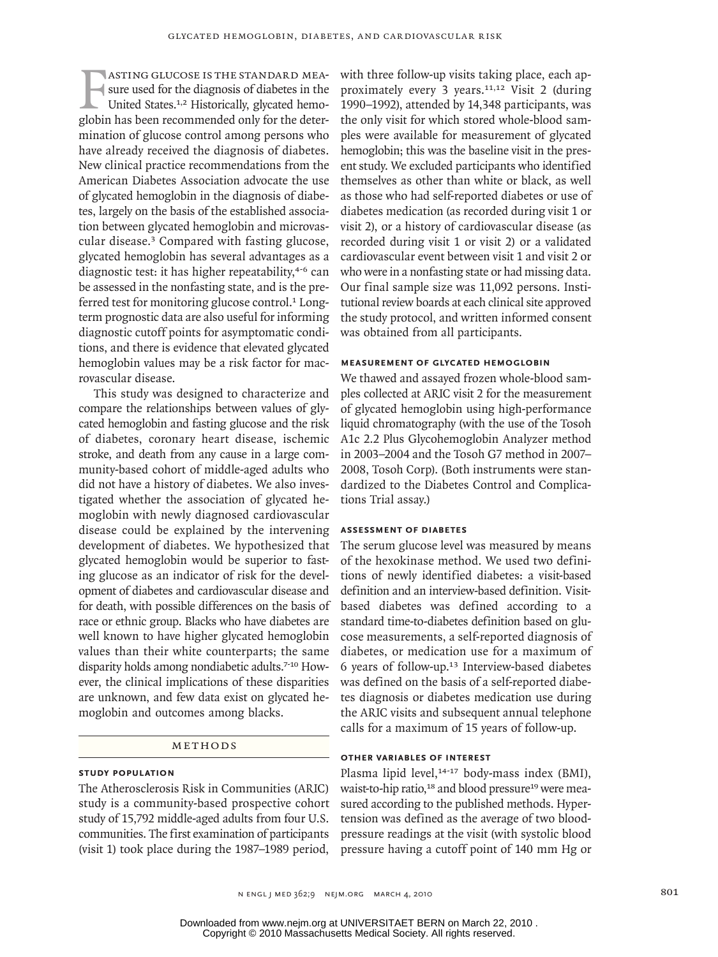ASTING GLUCOSE IS THE STANDARD MEASURE SURVEY SURVEY AND MOVING UNITED THE United States.<sup>1,2</sup> Historically, glycated hemoglobin has been recommended only for the deterasting glucose is the standard measure used for the diagnosis of diabetes in the United States.1,2 Historically, glycated hemomination of glucose control among persons who have already received the diagnosis of diabetes. New clinical practice recommendations from the American Diabetes Association advocate the use of glycated hemoglobin in the diagnosis of diabetes, largely on the basis of the established association between glycated hemoglobin and microvascular disease.3 Compared with fasting glucose, glycated hemoglobin has several advantages as a diagnostic test: it has higher repeatability,<sup>4-6</sup> can be assessed in the nonfasting state, and is the preferred test for monitoring glucose control.<sup>1</sup> Longterm prognostic data are also useful for informing diagnostic cutoff points for asymptomatic conditions, and there is evidence that elevated glycated hemoglobin values may be a risk factor for macrovascular disease.

This study was designed to characterize and compare the relationships between values of glycated hemoglobin and fasting glucose and the risk of diabetes, coronary heart disease, ischemic stroke, and death from any cause in a large community-based cohort of middle-aged adults who did not have a history of diabetes. We also investigated whether the association of glycated hemoglobin with newly diagnosed cardiovascular disease could be explained by the intervening development of diabetes. We hypothesized that glycated hemoglobin would be superior to fasting glucose as an indicator of risk for the development of diabetes and cardiovascular disease and for death, with possible differences on the basis of race or ethnic group. Blacks who have diabetes are well known to have higher glycated hemoglobin values than their white counterparts; the same disparity holds among nondiabetic adults.7-10 However, the clinical implications of these disparities are unknown, and few data exist on glycated hemoglobin and outcomes among blacks.

#### METHODS

#### **Study Population**

The Atherosclerosis Risk in Communities (ARIC) study is a community-based prospective cohort study of 15,792 middle-aged adults from four U.S. communities. The first examination of participants (visit 1) took place during the 1987–1989 period,

with three follow-up visits taking place, each approximately every 3 years.11,12 Visit 2 (during 1990–1992), attended by 14,348 participants, was the only visit for which stored whole-blood samples were available for measurement of glycated hemoglobin; this was the baseline visit in the present study. We excluded participants who identified themselves as other than white or black, as well as those who had self-reported diabetes or use of diabetes medication (as recorded during visit 1 or visit 2), or a history of cardiovascular disease (as recorded during visit 1 or visit 2) or a validated cardiovascular event between visit 1 and visit 2 or who were in a nonfasting state or had missing data. Our final sample size was 11,092 persons. Institutional review boards at each clinical site approved the study protocol, and written informed consent was obtained from all participants.

#### **Measurement of Glycated Hemoglobin**

We thawed and assayed frozen whole-blood samples collected at ARIC visit 2 for the measurement of glycated hemoglobin using high-performance liquid chromatography (with the use of the Tosoh A1c 2.2 Plus Glycohemoglobin Analyzer method in 2003–2004 and the Tosoh G7 method in 2007– 2008, Tosoh Corp). (Both instruments were standardized to the Diabetes Control and Complications Trial assay.)

#### **Assessment of Diabetes**

The serum glucose level was measured by means of the hexokinase method. We used two definitions of newly identified diabetes: a visit-based definition and an interview-based definition. Visitbased diabetes was defined according to a standard time-to-diabetes definition based on glucose measurements, a self-reported diagnosis of diabetes, or medication use for a maximum of 6 years of follow-up.13 Interview-based diabetes was defined on the basis of a self-reported diabetes diagnosis or diabetes medication use during the ARIC visits and subsequent annual telephone calls for a maximum of 15 years of follow-up.

#### **Other Variables of Interest**

Plasma lipid level,<sup>14-17</sup> body-mass index (BMI), waist-to-hip ratio,<sup>18</sup> and blood pressure<sup>19</sup> were measured according to the published methods. Hypertension was defined as the average of two bloodpressure readings at the visit (with systolic blood pressure having a cutoff point of 140 mm Hg or

n engl j med 362;9 nejm.org march 4, 2010 801

Copyright © 2010 Massachusetts Medical Society. All rights reserved. Downloaded from www.nejm.org at UNIVERSITAET BERN on March 22, 2010 .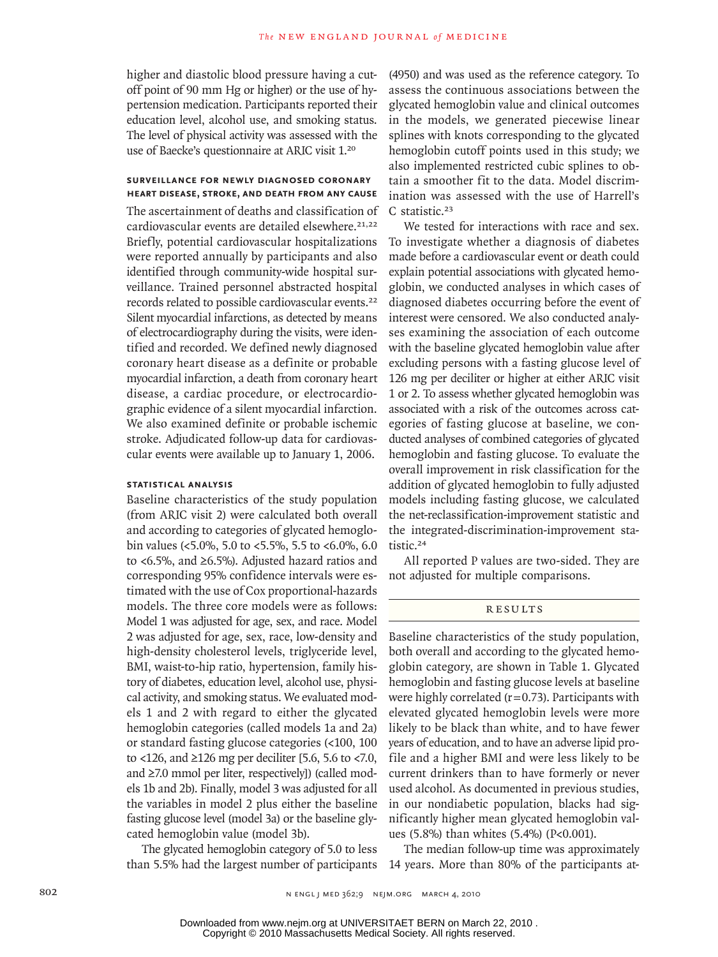higher and diastolic blood pressure having a cutoff point of 90 mm Hg or higher) or the use of hypertension medication. Participants reported their education level, alcohol use, and smoking status. The level of physical activity was assessed with the use of Baecke's questionnaire at ARIC visit 1.<sup>20</sup>

## **Surveillance for Newly Diagnosed Coronary Heart Disease, Stroke, and Death from Any Cause**

The ascertainment of deaths and classification of cardiovascular events are detailed elsewhere.<sup>21,22</sup> Briefly, potential cardiovascular hospitalizations were reported annually by participants and also identified through community-wide hospital surveillance. Trained personnel abstracted hospital records related to possible cardiovascular events.<sup>22</sup> Silent myocardial infarctions, as detected by means of electrocardiography during the visits, were identified and recorded. We defined newly diagnosed coronary heart disease as a definite or probable myocardial infarction, a death from coronary heart disease, a cardiac procedure, or electrocardiographic evidence of a silent myocardial infarction. We also examined definite or probable ischemic stroke. Adjudicated follow-up data for cardiovascular events were available up to January 1, 2006.

### **Statistical Analysis**

Baseline characteristics of the study population (from ARIC visit 2) were calculated both overall and according to categories of glycated hemoglobin values (<5.0%, 5.0 to <5.5%, 5.5 to <6.0%, 6.0 to <6.5%, and ≥6.5%). Adjusted hazard ratios and corresponding 95% confidence intervals were estimated with the use of Cox proportional-hazards models. The three core models were as follows: Model 1 was adjusted for age, sex, and race. Model 2 was adjusted for age, sex, race, low-density and high-density cholesterol levels, triglyceride level, BMI, waist-to-hip ratio, hypertension, family history of diabetes, education level, alcohol use, physical activity, and smoking status. We evaluated models 1 and 2 with regard to either the glycated hemoglobin categories (called models 1a and 2a) or standard fasting glucose categories (<100, 100 to <126, and  $\geq$ 126 mg per deciliter [5.6, 5.6 to <7.0, and ≥7.0 mmol per liter, respectively]) (called models 1b and 2b). Finally, model 3 was adjusted for all the variables in model 2 plus either the baseline fasting glucose level (model 3a) or the baseline glycated hemoglobin value (model 3b).

The glycated hemoglobin category of 5.0 to less than 5.5% had the largest number of participants 14 years. More than 80% of the participants at-

(4950) and was used as the reference category. To assess the continuous associations between the glycated hemoglobin value and clinical outcomes in the models, we generated piecewise linear splines with knots corresponding to the glycated hemoglobin cutoff points used in this study; we also implemented restricted cubic splines to obtain a smoother fit to the data. Model discrimination was assessed with the use of Harrell's C statistic.<sup>23</sup>

We tested for interactions with race and sex. To investigate whether a diagnosis of diabetes made before a cardiovascular event or death could explain potential associations with glycated hemoglobin, we conducted analyses in which cases of diagnosed diabetes occurring before the event of interest were censored. We also conducted analyses examining the association of each outcome with the baseline glycated hemoglobin value after excluding persons with a fasting glucose level of 126 mg per deciliter or higher at either ARIC visit 1 or 2. To assess whether glycated hemoglobin was associated with a risk of the outcomes across categories of fasting glucose at baseline, we conducted analyses of combined categories of glycated hemoglobin and fasting glucose. To evaluate the overall improvement in risk classification for the addition of glycated hemoglobin to fully adjusted models including fasting glucose, we calculated the net-reclassification-improvement statistic and the integrated-discrimination-improvement statistic.<sup>24</sup>

All reported P values are two-sided. They are not adjusted for multiple comparisons.

## **RESULTS**

Baseline characteristics of the study population, both overall and according to the glycated hemoglobin category, are shown in Table 1. Glycated hemoglobin and fasting glucose levels at baseline were highly correlated  $(r=0.73)$ . Participants with elevated glycated hemoglobin levels were more likely to be black than white, and to have fewer years of education, and to have an adverse lipid profile and a higher BMI and were less likely to be current drinkers than to have formerly or never used alcohol. As documented in previous studies, in our nondiabetic population, blacks had significantly higher mean glycated hemoglobin values (5.8%) than whites (5.4%) (P<0.001).

The median follow-up time was approximately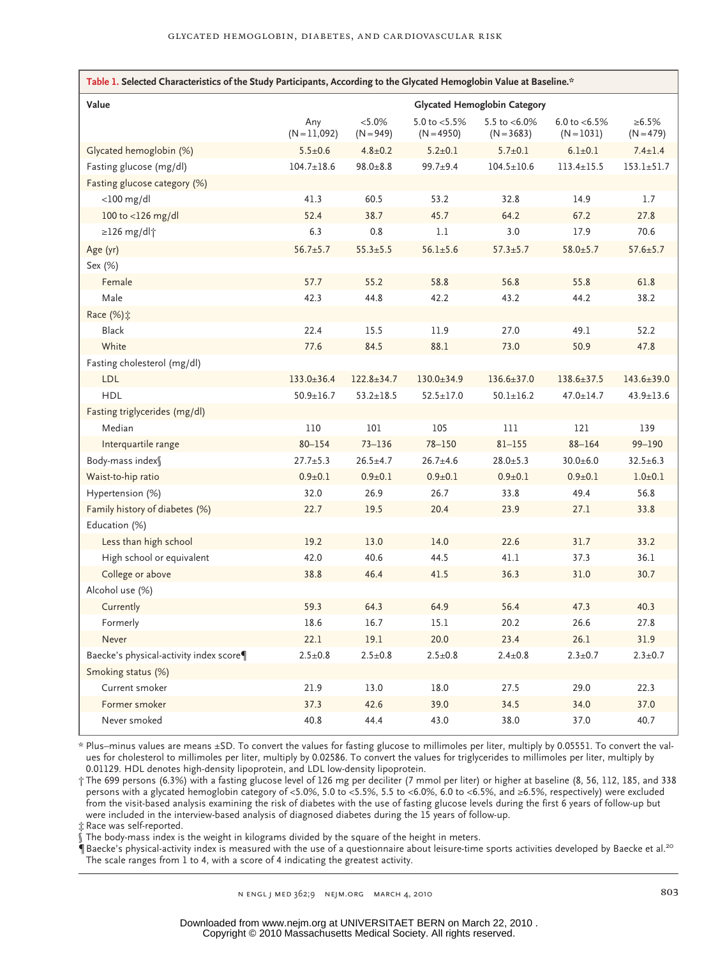| Table 1. Selected Characteristics of the Study Participants, According to the Glycated Hemoglobin Value at Baseline.* |                                     |                          |                                  |                                  |                                  |                      |
|-----------------------------------------------------------------------------------------------------------------------|-------------------------------------|--------------------------|----------------------------------|----------------------------------|----------------------------------|----------------------|
| Value                                                                                                                 | <b>Glycated Hemoglobin Category</b> |                          |                                  |                                  |                                  |                      |
|                                                                                                                       | Any<br>$(N=11,092)$                 | $< 5.0\%$<br>$(N = 949)$ | 5.0 to $< 5.5\%$<br>$(N = 4950)$ | 5.5 to $< 6.0\%$<br>$(N = 3683)$ | 6.0 to $< 6.5\%$<br>$(N = 1031)$ | ≥6.5%<br>$(N = 479)$ |
| Glycated hemoglobin (%)                                                                                               | $5.5 \pm 0.6$                       | $4.8 \pm 0.2$            | $5.2 \pm 0.1$                    | $5.7 \pm 0.1$                    | $6.1 \pm 0.1$                    | $7.4 \pm 1.4$        |
| Fasting glucose (mg/dl)                                                                                               | $104.7 \pm 18.6$                    | $98.0 + 8.8$             | $99.7 + 9.4$                     | $104.5 \pm 10.6$                 | $113.4 \pm 15.5$                 | $153.1 \pm 51.7$     |
| Fasting glucose category (%)                                                                                          |                                     |                          |                                  |                                  |                                  |                      |
| $<$ 100 mg/dl                                                                                                         | 41.3                                | 60.5                     | 53.2                             | 32.8                             | 14.9                             | 1.7                  |
| 100 to <126 mg/dl                                                                                                     | 52.4                                | 38.7                     | 45.7                             | 64.2                             | 67.2                             | 27.8                 |
| $\geq$ 126 mg/dl†                                                                                                     | 6.3                                 | 0.8                      | 1.1                              | 3.0                              | 17.9                             | 70.6                 |
| Age (yr)                                                                                                              | $56.7 \pm 5.7$                      | $55.3 \pm 5.5$           | $56.1 \pm 5.6$                   | $57.3 \pm 5.7$                   | $58.0 \pm 5.7$                   | $57.6 \pm 5.7$       |
| Sex (%)                                                                                                               |                                     |                          |                                  |                                  |                                  |                      |
| Female                                                                                                                | 57.7                                | 55.2                     | 58.8                             | 56.8                             | 55.8                             | 61.8                 |
| Male                                                                                                                  | 42.3                                | 44.8                     | 42.2                             | 43.2                             | 44.2                             | 38.2                 |
| Race (%) $\ddagger$                                                                                                   |                                     |                          |                                  |                                  |                                  |                      |
| <b>Black</b>                                                                                                          | 22.4                                | 15.5                     | 11.9                             | 27.0                             | 49.1                             | 52.2                 |
| White                                                                                                                 | 77.6                                | 84.5                     | 88.1                             | 73.0                             | 50.9                             | 47.8                 |
| Fasting cholesterol (mg/dl)                                                                                           |                                     |                          |                                  |                                  |                                  |                      |
| <b>LDL</b>                                                                                                            | $133.0 \pm 36.4$                    | $122.8 \pm 34.7$         | $130.0 \pm 34.9$                 | $136.6 \pm 37.0$                 | 138.6±37.5                       | 143.6±39.0           |
| <b>HDL</b>                                                                                                            | $50.9 \pm 16.7$                     | $53.2 \pm 18.5$          | $52.5 \pm 17.0$                  | $50.1 \pm 16.2$                  | $47.0 \pm 14.7$                  | $43.9 \pm 13.6$      |
| Fasting triglycerides (mg/dl)                                                                                         |                                     |                          |                                  |                                  |                                  |                      |
| Median                                                                                                                | 110                                 | 101                      | 105                              | 111                              | 121                              | 139                  |
| Interquartile range                                                                                                   | $80 - 154$                          | $73 - 136$               | $78 - 150$                       | $81 - 155$                       | $88 - 164$                       | 99-190               |
| Body-mass index                                                                                                       | $27.7 \pm 5.3$                      | $26.5 \pm 4.7$           | $26.7 + 4.6$                     | $28.0 \pm 5.3$                   | $30.0 + 6.0$                     | $32.5 \pm 6.3$       |
| Waist-to-hip ratio                                                                                                    | $0.9 + 0.1$                         | $0.9 + 0.1$              | $0.9 + 0.1$                      | $0.9 + 0.1$                      | $0.9 + 0.1$                      | $1.0 + 0.1$          |
| Hypertension (%)                                                                                                      | 32.0                                | 26.9                     | 26.7                             | 33.8                             | 49.4                             | 56.8                 |
| Family history of diabetes (%)                                                                                        | 22.7                                | 19.5                     | 20.4                             | 23.9                             | 27.1                             | 33.8                 |
| Education (%)                                                                                                         |                                     |                          |                                  |                                  |                                  |                      |
| Less than high school                                                                                                 | 19.2                                | 13.0                     | 14.0                             | 22.6                             | 31.7                             | 33.2                 |
| High school or equivalent                                                                                             | 42.0                                | 40.6                     | 44.5                             | 41.1                             | 37.3                             | 36.1                 |
| College or above                                                                                                      | 38.8                                | 46.4                     | 41.5                             | 36.3                             | 31.0                             | 30.7                 |
| Alcohol use (%)                                                                                                       |                                     |                          |                                  |                                  |                                  |                      |
| Currently                                                                                                             | 59.3                                | 64.3                     | 64.9                             | 56.4                             | 47.3                             | 40.3                 |
| Formerly                                                                                                              | 18.6                                | 16.7                     | 15.1                             | 20.2                             | 26.6                             | 27.8                 |
| Never                                                                                                                 | 22.1                                | 19.1                     | 20.0                             | 23.4                             | 26.1                             | 31.9                 |
| Baecke's physical-activity index score¶                                                                               | $2.5 \pm 0.8$                       | $2.5 \pm 0.8$            | $2.5 \pm 0.8$                    | $2.4 \pm 0.8$                    | $2.3 + 0.7$                      | $2.3 \pm 0.7$        |
| Smoking status (%)                                                                                                    |                                     |                          |                                  |                                  |                                  |                      |
| Current smoker                                                                                                        | 21.9                                | 13.0                     | 18.0                             | 27.5                             | 29.0                             | 22.3                 |
| Former smoker                                                                                                         | 37.3                                | 42.6                     | 39.0                             | 34.5                             | 34.0                             | 37.0                 |
| Never smoked                                                                                                          | 40.8                                | 44.4                     | 43.0                             | 38.0                             | 37.0                             | 40.7                 |

\* Plus–minus values are means ±SD. To convert the values for fasting glucose to millimoles per liter, multiply by 0.05551. To convert the values for cholesterol to millimoles per liter, multiply by 0.02586. To convert the values for triglycerides to millimoles per liter, multiply by 0.01129. HDL denotes high-density lipoprotein, and LDL low-density lipoprotein.

† The 699 persons (6.3%) with a fasting glucose level of 126 mg per deciliter (7 mmol per liter) or higher at baseline (8, 56, 112, 185, and 338 persons with a glycated hemoglobin category of <5.0%, 5.0 to <5.5%, 5.5 to <6.0%, 6.0 to <6.5%, and ≥6.5%, respectively) were excluded from the visit-based analysis examining the risk of diabetes with the use of fasting glucose levels during the first 6 years of follow-up but were included in the interview-based analysis of diagnosed diabetes during the 15 years of follow-up.

‡ Race was self-reported.

§ The body-mass index is the weight in kilograms divided by the square of the height in meters.

¶Baecke's physical-activity index is measured with the use of a questionnaire about leisure-time sports activities developed by Baecke et al.<sup>20</sup> The scale ranges from 1 to 4, with a score of 4 indicating the greatest activity.

n engl j med 362;9 nejm.org march 4, 2010 803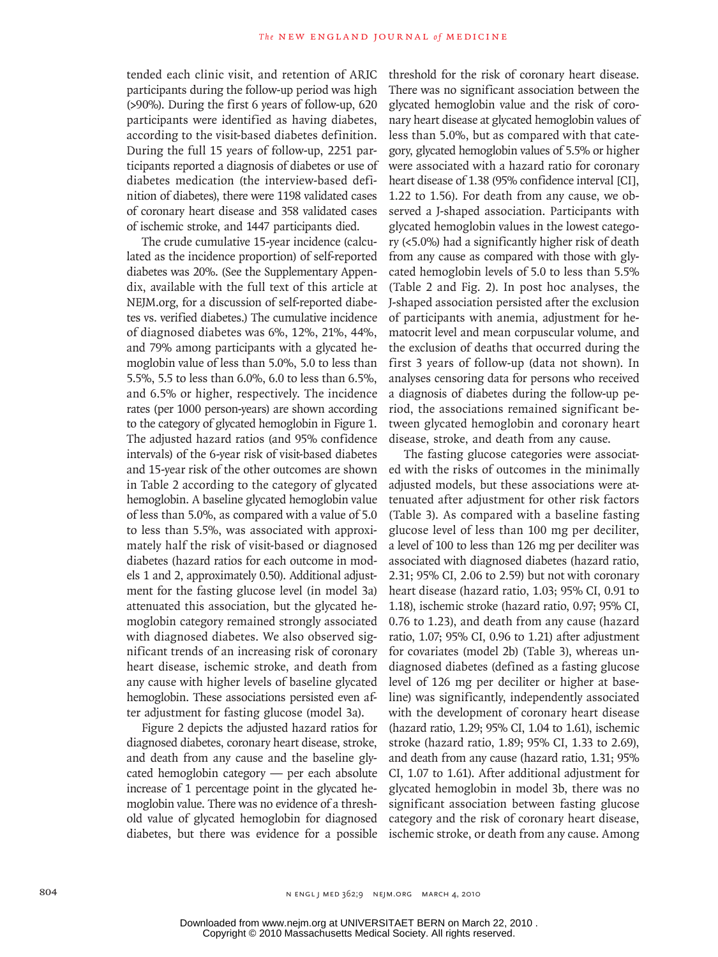tended each clinic visit, and retention of ARIC participants during the follow-up period was high (>90%). During the first 6 years of follow-up, 620 participants were identified as having diabetes, according to the visit-based diabetes definition. During the full 15 years of follow-up, 2251 participants reported a diagnosis of diabetes or use of diabetes medication (the interview-based definition of diabetes), there were 1198 validated cases of coronary heart disease and 358 validated cases of ischemic stroke, and 1447 participants died.

The crude cumulative 15-year incidence (calculated as the incidence proportion) of self-reported diabetes was 20%. (See the Supplementary Appendix, available with the full text of this article at NEJM.org, for a discussion of self-reported diabetes vs. verified diabetes.) The cumulative incidence of diagnosed diabetes was 6%, 12%, 21%, 44%, and 79% among participants with a glycated hemoglobin value of less than 5.0%, 5.0 to less than 5.5%, 5.5 to less than 6.0%, 6.0 to less than 6.5%, and 6.5% or higher, respectively. The incidence rates (per 1000 person-years) are shown according to the category of glycated hemoglobin in Figure 1. The adjusted hazard ratios (and 95% confidence intervals) of the 6-year risk of visit-based diabetes and 15-year risk of the other outcomes are shown in Table 2 according to the category of glycated hemoglobin. A baseline glycated hemoglobin value of less than 5.0%, as compared with a value of 5.0 to less than 5.5%, was associated with approximately half the risk of visit-based or diagnosed diabetes (hazard ratios for each outcome in models 1 and 2, approximately 0.50). Additional adjustment for the fasting glucose level (in model 3a) attenuated this association, but the glycated hemoglobin category remained strongly associated with diagnosed diabetes. We also observed significant trends of an increasing risk of coronary heart disease, ischemic stroke, and death from any cause with higher levels of baseline glycated hemoglobin. These associations persisted even after adjustment for fasting glucose (model 3a).

Figure 2 depicts the adjusted hazard ratios for diagnosed diabetes, coronary heart disease, stroke, and death from any cause and the baseline glycated hemoglobin category — per each absolute increase of 1 percentage point in the glycated hemoglobin value. There was no evidence of a threshold value of glycated hemoglobin for diagnosed diabetes, but there was evidence for a possible threshold for the risk of coronary heart disease. There was no significant association between the glycated hemoglobin value and the risk of coronary heart disease at glycated hemoglobin values of less than 5.0%, but as compared with that category, glycated hemoglobin values of 5.5% or higher were associated with a hazard ratio for coronary heart disease of 1.38 (95% confidence interval [CI], 1.22 to 1.56). For death from any cause, we observed a J-shaped association. Participants with glycated hemoglobin values in the lowest category (<5.0%) had a significantly higher risk of death from any cause as compared with those with glycated hemoglobin levels of 5.0 to less than 5.5% (Table 2 and Fig. 2). In post hoc analyses, the J-shaped association persisted after the exclusion of participants with anemia, adjustment for hematocrit level and mean corpuscular volume, and the exclusion of deaths that occurred during the first 3 years of follow-up (data not shown). In analyses censoring data for persons who received a diagnosis of diabetes during the follow-up period, the associations remained significant between glycated hemoglobin and coronary heart disease, stroke, and death from any cause.

The fasting glucose categories were associated with the risks of outcomes in the minimally adjusted models, but these associations were attenuated after adjustment for other risk factors (Table 3). As compared with a baseline fasting glucose level of less than 100 mg per deciliter, a level of 100 to less than 126 mg per deciliter was associated with diagnosed diabetes (hazard ratio, 2.31; 95% CI, 2.06 to 2.59) but not with coronary heart disease (hazard ratio, 1.03; 95% CI, 0.91 to 1.18), ischemic stroke (hazard ratio, 0.97; 95% CI, 0.76 to 1.23), and death from any cause (hazard ratio, 1.07; 95% CI, 0.96 to 1.21) after adjustment for covariates (model 2b) (Table 3), whereas undiagnosed diabetes (defined as a fasting glucose level of 126 mg per deciliter or higher at baseline) was significantly, independently associated with the development of coronary heart disease (hazard ratio, 1.29; 95% CI, 1.04 to 1.61), ischemic stroke (hazard ratio, 1.89; 95% CI, 1.33 to 2.69), and death from any cause (hazard ratio, 1.31; 95% CI, 1.07 to 1.61). After additional adjustment for glycated hemoglobin in model 3b, there was no significant association between fasting glucose category and the risk of coronary heart disease, ischemic stroke, or death from any cause. Among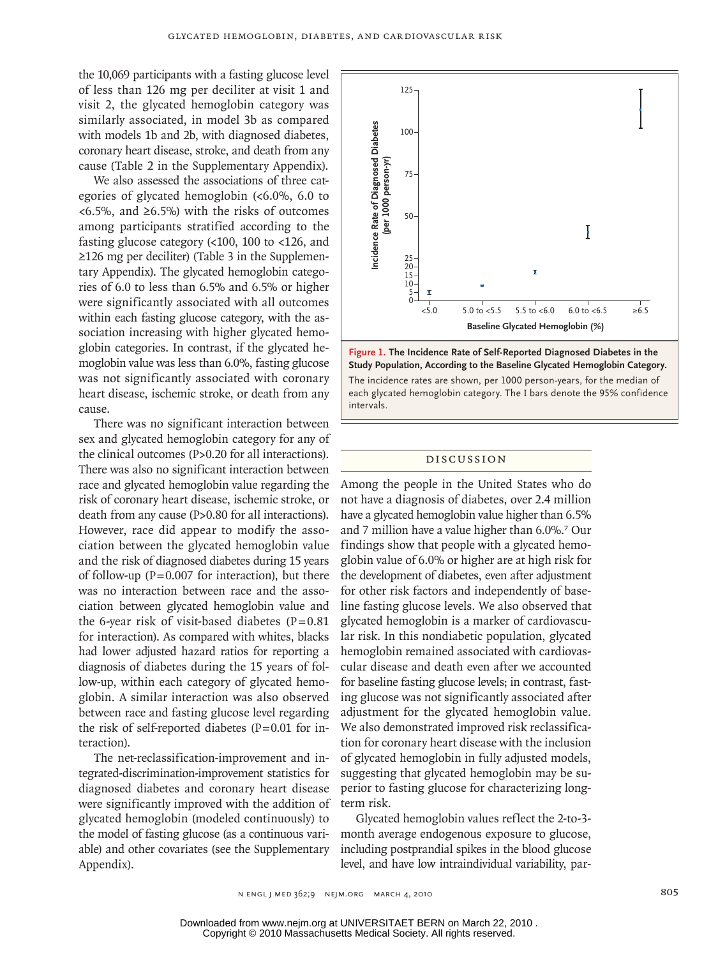the 10,069 participants with a fasting glucose level of less than 126 mg per deciliter at visit 1 and visit 2, the glycated hemoglobin category was similarly associated, in model 3b as compared with models 1b and 2b, with diagnosed diabetes, coronary heart disease, stroke, and death from any cause (Table 2 in the Supplementary Appendix).

We also assessed the associations of three categories of glycated hemoglobin (<6.0%, 6.0 to <6.5%, and ≥6.5%) with the risks of outcomes among participants stratified according to the fasting glucose category (<100, 100 to <126, and ≥126 mg per deciliter) (Table 3 in the Supplementary Appendix). The glycated hemoglobin categories of 6.0 to less than 6.5% and 6.5% or higher were significantly associated with all outcomes within each fasting glucose category, with the association increasing with higher glycated hemoglobin categories. In contrast, if the glycated hemoglobin value was less than 6.0%, fasting glucose was not significantly associated with coronary heart disease, ischemic stroke, or death from any cause.

There was no significant interaction between sex and glycated hemoglobin category for any of the clinical outcomes (P>0.20 for all interactions). There was also no significant interaction between race and glycated hemoglobin value regarding the risk of coronary heart disease, ischemic stroke, or death from any cause (P>0.80 for all interactions). However, race did appear to modify the association between the glycated hemoglobin value and the risk of diagnosed diabetes during 15 years of follow-up  $(P=0.007$  for interaction), but there was no interaction between race and the association between glycated hemoglobin value and the 6-year risk of visit-based diabetes  $(P=0.81)$ for interaction). As compared with whites, blacks had lower adjusted hazard ratios for reporting a diagnosis of diabetes during the 15 years of follow-up, within each category of glycated hemoglobin. A similar interaction was also observed between race and fasting glucose level regarding the risk of self-reported diabetes  $(P=0.01$  for interaction).

The net-reclassification-improvement and integrated-discrimination-improvement statistics for diagnosed diabetes and coronary heart disease were significantly improved with the addition of glycated hemoglobin (modeled continuously) to the model of fasting glucose (as a continuous variable) and other covariates (see the Supplementary Appendix).



ulation According to the Pecoline Chrotod Hemeslebin The incidence rates are shown, per 1000 person-years, for the median of each glycated hemoglobin category. The I bars denote the 95% confidence<br>. Study Population, According to the Baseline Glycated Hemoglobin Category. **Figure 1. The Incidence Rate of Self-Reported Diagnosed Diabetes in the**  intervals.

**Figure has been redrawn and type has been reset.**

Line Combo 4-C H/T

 $\equiv$ 

# Discussion **Please check carefully.**

TYPE:

Among the people in the United States who do not have a diagnosis of diabetes, over 2.4 million have a glycated hemoglobin value higher than 6.5% and 7 million have a value higher than 6.0%.7 Our findings show that people with a glycated hemoglobin value of 6.0% or higher are at high risk for the development of diabetes, even after adjustment for other risk factors and independently of baseline fasting glucose levels. We also observed that glycated hemoglobin is a marker of cardiovascular risk. In this nondiabetic population, glycated hemoglobin remained associated with cardiovascular disease and death even after we accounted for baseline fasting glucose levels; in contrast, fasting glucose was not significantly associated after adjustment for the glycated hemoglobin value. We also demonstrated improved risk reclassification for coronary heart disease with the inclusion of glycated hemoglobin in fully adjusted models, suggesting that glycated hemoglobin may be superior to fasting glucose for characterizing longterm risk.

Glycated hemoglobin values reflect the 2-to-3 month average endogenous exposure to glucose, including postprandial spikes in the blood glucose level, and have low intraindividual variability, par-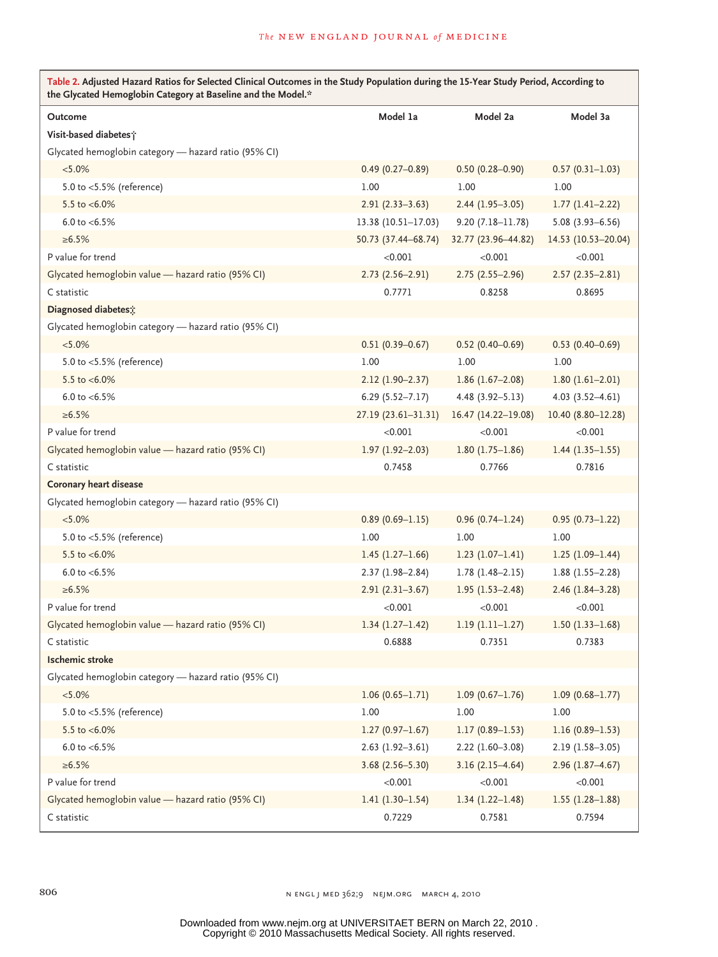| Table 2. Adjusted Hazard Ratios for Selected Clinical Outcomes in the Study Population during the 15-Year Study Period, According to<br>the Glycated Hemoglobin Category at Baseline and the Model.* |                        |                      |                     |  |  |
|------------------------------------------------------------------------------------------------------------------------------------------------------------------------------------------------------|------------------------|----------------------|---------------------|--|--|
| Outcome                                                                                                                                                                                              | Model 1a               | Model 2a             | Model 3a            |  |  |
| Visit-based diabetes;                                                                                                                                                                                |                        |                      |                     |  |  |
| Glycated hemoglobin category — hazard ratio (95% CI)                                                                                                                                                 |                        |                      |                     |  |  |
| $< 5.0\%$                                                                                                                                                                                            | $0.49(0.27 - 0.89)$    | $0.50(0.28 - 0.90)$  | $0.57(0.31-1.03)$   |  |  |
| 5.0 to <5.5% (reference)                                                                                                                                                                             | 1.00                   | 1.00                 | 1.00                |  |  |
| 5.5 to $< 6.0\%$                                                                                                                                                                                     | $2.91(2.33 - 3.63)$    | $2.44(1.95-3.05)$    | $1.77(1.41 - 2.22)$ |  |  |
| 6.0 to $< 6.5\%$                                                                                                                                                                                     | $13.38(10.51 - 17.03)$ | $9.20(7.18 - 11.78)$ | $5.08(3.93 - 6.56)$ |  |  |
| $\ge 6.5\%$                                                                                                                                                                                          | 50.73 (37.44-68.74)    | 32.77 (23.96-44.82)  | 14.53 (10.53-20.04) |  |  |
| P value for trend                                                                                                                                                                                    | < 0.001                | < 0.001              | < 0.001             |  |  |
| Glycated hemoglobin value - hazard ratio (95% CI)                                                                                                                                                    | $2.73(2.56-2.91)$      | $2.75(2.55 - 2.96)$  | $2.57(2.35-2.81)$   |  |  |
| C statistic                                                                                                                                                                                          | 0.7771                 | 0.8258               | 0.8695              |  |  |
| Diagnosed diabetes;                                                                                                                                                                                  |                        |                      |                     |  |  |
| Glycated hemoglobin category - hazard ratio (95% CI)                                                                                                                                                 |                        |                      |                     |  |  |
| $< 5.0\%$                                                                                                                                                                                            | $0.51(0.39 - 0.67)$    | $0.52(0.40 - 0.69)$  | $0.53$ (0.40-0.69)  |  |  |
| 5.0 to <5.5% (reference)                                                                                                                                                                             | 1.00                   | 1.00                 | 1.00                |  |  |
| 5.5 to $< 6.0\%$                                                                                                                                                                                     | $2.12(1.90-2.37)$      | $1.86(1.67-2.08)$    | $1.80(1.61 - 2.01)$ |  |  |
| 6.0 to $<$ 6.5%                                                                                                                                                                                      | $6.29(5.52 - 7.17)$    | $4.48(3.92 - 5.13)$  | $4.03(3.52 - 4.61)$ |  |  |
| $\ge 6.5\%$                                                                                                                                                                                          | 27.19 (23.61-31.31)    | 16.47 (14.22-19.08)  | 10.40 (8.80-12.28)  |  |  |
| P value for trend                                                                                                                                                                                    | < 0.001                | < 0.001              | < 0.001             |  |  |
| Glycated hemoglobin value - hazard ratio (95% CI)                                                                                                                                                    | $1.97(1.92 - 2.03)$    | $1.80(1.75-1.86)$    | $1.44(1.35-1.55)$   |  |  |
| C statistic                                                                                                                                                                                          | 0.7458                 | 0.7766               | 0.7816              |  |  |
| Coronary heart disease                                                                                                                                                                               |                        |                      |                     |  |  |
| Glycated hemoglobin category — hazard ratio (95% CI)                                                                                                                                                 |                        |                      |                     |  |  |
| $< 5.0\%$                                                                                                                                                                                            | $0.89(0.69 - 1.15)$    | $0.96(0.74 - 1.24)$  | $0.95(0.73 - 1.22)$ |  |  |
| 5.0 to <5.5% (reference)                                                                                                                                                                             | 1.00                   | 1.00                 | 1.00                |  |  |
| 5.5 to $< 6.0\%$                                                                                                                                                                                     | $1.45(1.27-1.66)$      | $1.23(1.07-1.41)$    | $1.25(1.09-1.44)$   |  |  |
| 6.0 to $<$ 6.5%                                                                                                                                                                                      | $2.37(1.98 - 2.84)$    | $1.78(1.48 - 2.15)$  | $1.88(1.55-2.28)$   |  |  |
| $\ge 6.5\%$                                                                                                                                                                                          | $2.91(2.31-3.67)$      | $1.95(1.53 - 2.48)$  | $2.46(1.84 - 3.28)$ |  |  |
| P value for trend                                                                                                                                                                                    | < 0.001                | < 0.001              | < 0.001             |  |  |
| Glycated hemoglobin value - hazard ratio (95% CI)                                                                                                                                                    | $1.34(1.27-1.42)$      | $1.19(1.11-1.27)$    | $1.50(1.33 - 1.68)$ |  |  |
| C statistic                                                                                                                                                                                          | 0.6888                 | 0.7351               | 0.7383              |  |  |
| <b>Ischemic stroke</b>                                                                                                                                                                               |                        |                      |                     |  |  |
| Glycated hemoglobin category - hazard ratio (95% CI)                                                                                                                                                 |                        |                      |                     |  |  |
| $< 5.0\%$                                                                                                                                                                                            | $1.06(0.65 - 1.71)$    | $1.09(0.67-1.76)$    | $1.09(0.68 - 1.77)$ |  |  |
| 5.0 to <5.5% (reference)                                                                                                                                                                             | 1.00                   | 1.00                 | 1.00                |  |  |
| 5.5 to $< 6.0\%$                                                                                                                                                                                     | $1.27(0.97 - 1.67)$    | $1.17(0.89 - 1.53)$  | $1.16(0.89 - 1.53)$ |  |  |
| 6.0 to $<$ 6.5%                                                                                                                                                                                      | $2.63(1.92 - 3.61)$    | $2.22(1.60-3.08)$    | $2.19(1.58-3.05)$   |  |  |
| $\ge 6.5\%$                                                                                                                                                                                          | $3.68(2.56 - 5.30)$    | $3.16(2.15-4.64)$    | $2.96(1.87 - 4.67)$ |  |  |
| P value for trend                                                                                                                                                                                    | < 0.001                | < 0.001              | < 0.001             |  |  |
| Glycated hemoglobin value - hazard ratio (95% CI)                                                                                                                                                    | $1.41(1.30-1.54)$      | $1.34(1.22 - 1.48)$  | $1.55(1.28-1.88)$   |  |  |
| C statistic                                                                                                                                                                                          | 0.7229                 | 0.7581               | 0.7594              |  |  |

806 n engl j med 362;9 nejm.org march 4, 2010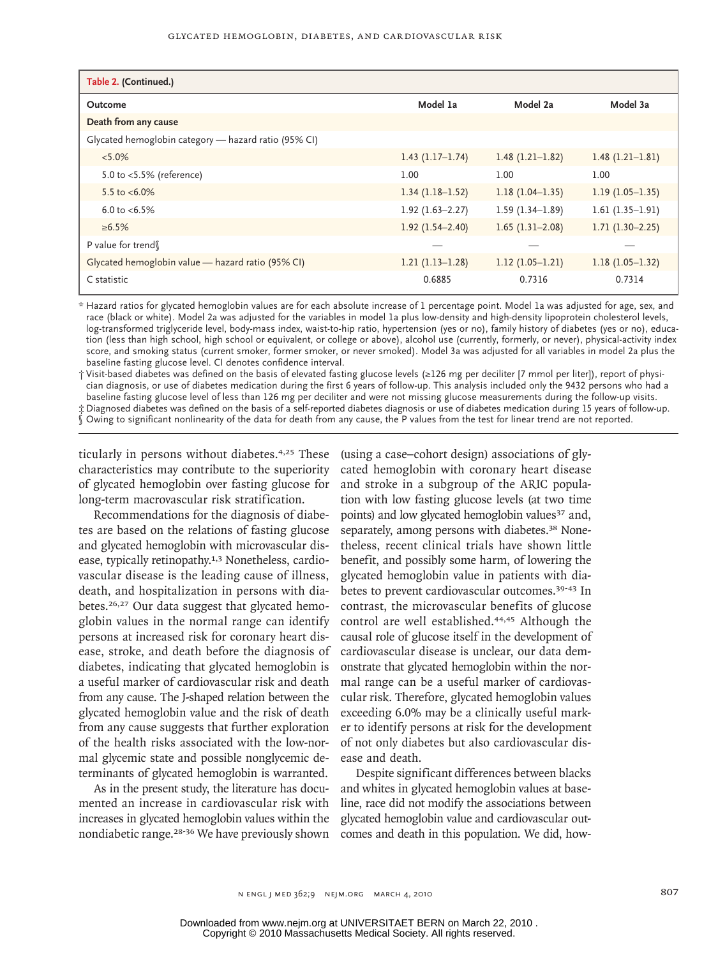| Table 2. (Continued.)                                |                     |                   |                   |
|------------------------------------------------------|---------------------|-------------------|-------------------|
| Outcome                                              | Model 1a            | Model 2a          | Model 3a          |
| Death from any cause                                 |                     |                   |                   |
| Glycated hemoglobin category — hazard ratio (95% CI) |                     |                   |                   |
| $< 5.0\%$                                            | $1.43(1.17-1.74)$   | $1.48(1.21-1.82)$ | $1.48(1.21-1.81)$ |
| 5.0 to <5.5% (reference)                             | 1.00                | 1.00              | 1.00              |
| 5.5 to $< 6.0\%$                                     | $1.34(1.18-1.52)$   | $1.18(1.04-1.35)$ | $1.19(1.05-1.35)$ |
| 6.0 to $< 6.5\%$                                     | $1.92(1.63 - 2.27)$ | $1.59(1.34-1.89)$ | $1.61(1.35-1.91)$ |
| $\ge 6.5\%$                                          | $1.92(1.54 - 2.40)$ | $1.65(1.31-2.08)$ | $1.71(1.30-2.25)$ |
| P value for trend                                    |                     |                   |                   |
| Glycated hemoglobin value - hazard ratio (95% CI)    | $1.21(1.13-1.28)$   | $1.12(1.05-1.21)$ | $1.18(1.05-1.32)$ |
| C statistic                                          | 0.6885              | 0.7316            | 0.7314            |

\* Hazard ratios for glycated hemoglobin values are for each absolute increase of 1 percentage point. Model 1a was adjusted for age, sex, and race (black or white). Model 2a was adjusted for the variables in model 1a plus low-density and high-density lipoprotein cholesterol levels, log-transformed triglyceride level, body-mass index, waist-to-hip ratio, hypertension (yes or no), family history of diabetes (yes or no), education (less than high school, high school or equivalent, or college or above), alcohol use (currently, formerly, or never), physical-activity index score, and smoking status (current smoker, former smoker, or never smoked). Model 3a was adjusted for all variables in model 2a plus the baseline fasting glucose level. CI denotes confidence interval.

† Visit-based diabetes was defined on the basis of elevated fasting glucose levels (≥126 mg per deciliter [7 mmol per liter]), report of physician diagnosis, or use of diabetes medication during the first 6 years of follow-up. This analysis included only the 9432 persons who had a baseline fasting glucose level of less than 126 mg per deciliter and were not missing glucose measurements during the follow-up visits. ‡ Diagnosed diabetes was defined on the basis of a self-reported diabetes diagnosis or use of diabetes medication during 15 years of follow-up. § Owing to significant nonlinearity of the data for death from any cause, the P values from the test for linear trend are not reported.

ticularly in persons without diabetes.<sup>4,25</sup> These characteristics may contribute to the superiority of glycated hemoglobin over fasting glucose for long-term macrovascular risk stratification.

Recommendations for the diagnosis of diabetes are based on the relations of fasting glucose and glycated hemoglobin with microvascular disease, typically retinopathy.<sup>1,3</sup> Nonetheless, cardiovascular disease is the leading cause of illness, death, and hospitalization in persons with diabetes.26,27 Our data suggest that glycated hemoglobin values in the normal range can identify persons at increased risk for coronary heart disease, stroke, and death before the diagnosis of diabetes, indicating that glycated hemoglobin is a useful marker of cardiovascular risk and death from any cause. The J-shaped relation between the glycated hemoglobin value and the risk of death from any cause suggests that further exploration of the health risks associated with the low-normal glycemic state and possible nonglycemic determinants of glycated hemoglobin is warranted.

As in the present study, the literature has documented an increase in cardiovascular risk with increases in glycated hemoglobin values within the (using a case–cohort design) associations of glycated hemoglobin with coronary heart disease and stroke in a subgroup of the ARIC population with low fasting glucose levels (at two time points) and low glycated hemoglobin values<sup>37</sup> and, separately, among persons with diabetes.<sup>38</sup> Nonetheless, recent clinical trials have shown little benefit, and possibly some harm, of lowering the glycated hemoglobin value in patients with diabetes to prevent cardiovascular outcomes.<sup>39-43</sup> In contrast, the microvascular benefits of glucose control are well established.<sup>44,45</sup> Although the causal role of glucose itself in the development of cardiovascular disease is unclear, our data demonstrate that glycated hemoglobin within the normal range can be a useful marker of cardiovascular risk. Therefore, glycated hemoglobin values exceeding 6.0% may be a clinically useful marker to identify persons at risk for the development of not only diabetes but also cardiovascular disease and death.

nondiabetic range.<sup>28-36</sup> We have previously shown comes and death in this population. We did, how-Despite significant differences between blacks and whites in glycated hemoglobin values at baseline, race did not modify the associations between glycated hemoglobin value and cardiovascular out-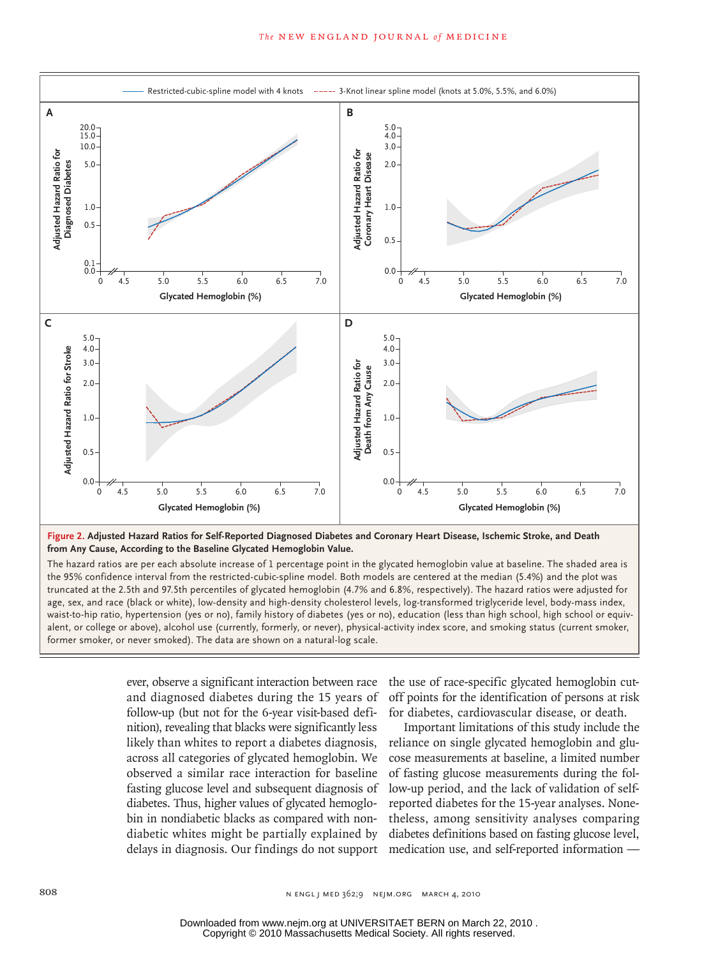

**Figure 2.** Aujusted Trazard Ratios for Sen-Reported Diagnosed Diabetes<br>from Any Cause, According to the Baseline Glycated Hemoglobin Value. Figure 2. Adjusted Hazard Ratios for Self-Reported Diagnosed Diabetes and Coronary Heart Disease, Ischemic Stroke, and Death

truncated at the 2.5th and 97.5th percentiles of glycated hemoglobin (4.7% and 6.8%, respectively). The hazard ratios were adjusted for age, sex, and race (black or white), low-density and high-density cholesterol levels, log-transformed triglyceride level, body-mass index, The hazard ratios are per each absolute increase of 1 percentage point in the glycated hemoglobin value at baseline. The shaded area is the 95% confidence interval from the restricted-cubic-spline model. Both models are centered at the median (5.4%) and the plot was waist-to-hip ratio, hypertension (yes or no), family history of diabetes (yes or no), education (less than high school, high school or equiv-**Figure has been redrawn and type has been reset.** alent, or college or above), alcohol use (currently, formerly, or never), physical-activity index score, and smoking status (current smoker, former smoker, or never smoked). The data are shown on a natural-log scale.

Jobs in the state of the state of the state of the state of the state of the state of the state of the state o

ever, observe a significant interaction between race and diagnosed diabetes during the 15 years of follow-up (but not for the 6-year visit-based definition), revealing that blacks were significantly less likely than whites to report a diabetes diagnosis, across all categories of glycated hemoglobin. We observed a similar race interaction for baseline fasting glucose level and subsequent diagnosis of diabetes. Thus, higher values of glycated hemoglobin in nondiabetic blacks as compared with nondiabetic whites might be partially explained by delays in diagnosis. Our findings do not support

the use of race-specific glycated hemoglobin cutoff points for the identification of persons at risk for diabetes, cardiovascular disease, or death.

Important limitations of this study include the reliance on single glycated hemoglobin and glucose measurements at baseline, a limited number of fasting glucose measurements during the follow-up period, and the lack of validation of selfreported diabetes for the 15-year analyses. Nonetheless, among sensitivity analyses comparing diabetes definitions based on fasting glucose level, medication use, and self-reported information —

Copyright © 2010 Massachusetts Medical Society. All rights reserved. Downloaded from www.nejm.org at UNIVERSITAET BERN on March 22, 2010 .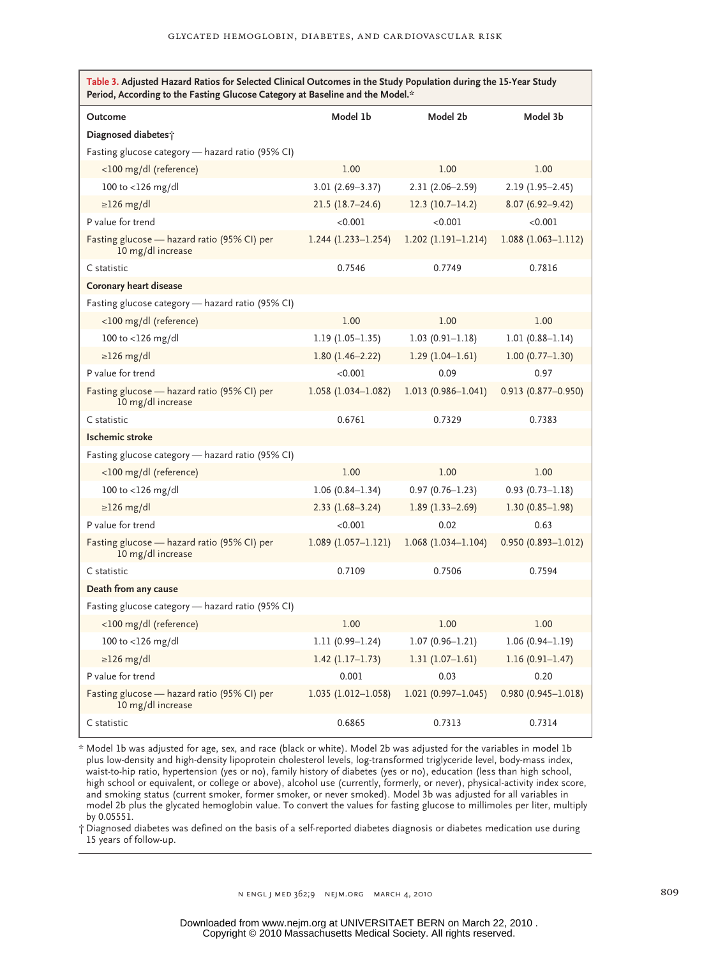| Table 3. Adjusted Hazard Ratios for Selected Clinical Outcomes in the Study Population during the 15-Year Study<br>Period, According to the Fasting Glucose Category at Baseline and the Model.* |                        |                        |                           |  |
|--------------------------------------------------------------------------------------------------------------------------------------------------------------------------------------------------|------------------------|------------------------|---------------------------|--|
| Outcome                                                                                                                                                                                          | Model 1b               | Model 2b               | Model 3b                  |  |
| Diagnosed diabetes i                                                                                                                                                                             |                        |                        |                           |  |
| Fasting glucose category - hazard ratio (95% CI)                                                                                                                                                 |                        |                        |                           |  |
| <100 mg/dl (reference)                                                                                                                                                                           | 1.00                   | 1.00                   | 1.00                      |  |
| 100 to <126 mg/dl                                                                                                                                                                                | $3.01(2.69 - 3.37)$    | $2.31(2.06 - 2.59)$    | $2.19(1.95 - 2.45)$       |  |
| $\geq$ 126 mg/dl                                                                                                                                                                                 | $21.5(18.7-24.6)$      | $12.3(10.7-14.2)$      | $8.07(6.92 - 9.42)$       |  |
| P value for trend                                                                                                                                                                                | < 0.001                | < 0.001                | < 0.001                   |  |
| Fasting glucose - hazard ratio (95% CI) per<br>10 mg/dl increase                                                                                                                                 | $1.244$ (1.233-1.254)  | $1.202(1.191 - 1.214)$ | $1.088(1.063 - 1.112)$    |  |
| C statistic                                                                                                                                                                                      | 0.7546                 | 0.7749                 | 0.7816                    |  |
| <b>Coronary heart disease</b>                                                                                                                                                                    |                        |                        |                           |  |
| Fasting glucose category - hazard ratio (95% CI)                                                                                                                                                 |                        |                        |                           |  |
| <100 mg/dl (reference)                                                                                                                                                                           | 1.00                   | 1.00                   | 1.00                      |  |
| 100 to <126 mg/dl                                                                                                                                                                                | $1.19(1.05 - 1.35)$    | $1.03(0.91 - 1.18)$    | $1.01(0.88 - 1.14)$       |  |
| $\geq$ 126 mg/dl                                                                                                                                                                                 | $1.80(1.46 - 2.22)$    | $1.29(1.04 - 1.61)$    | $1.00(0.77 - 1.30)$       |  |
| P value for trend                                                                                                                                                                                | < 0.001                | 0.09                   | 0.97                      |  |
| Fasting glucose - hazard ratio (95% CI) per<br>10 mg/dl increase                                                                                                                                 | $1.058(1.034 - 1.082)$ | $1.013(0.986 - 1.041)$ | $0.913$ $(0.877 - 0.950)$ |  |
| C statistic                                                                                                                                                                                      | 0.6761                 | 0.7329                 | 0.7383                    |  |
| <b>Ischemic stroke</b>                                                                                                                                                                           |                        |                        |                           |  |
| Fasting glucose category - hazard ratio (95% CI)                                                                                                                                                 |                        |                        |                           |  |
| <100 mg/dl (reference)                                                                                                                                                                           | 1.00                   | 1.00                   | 1.00                      |  |
| 100 to <126 mg/dl                                                                                                                                                                                | $1.06(0.84 - 1.34)$    | $0.97(0.76 - 1.23)$    | $0.93(0.73 - 1.18)$       |  |
| $\geq$ 126 mg/dl                                                                                                                                                                                 | $2.33(1.68-3.24)$      | $1.89(1.33 - 2.69)$    | $1.30(0.85 - 1.98)$       |  |
| P value for trend                                                                                                                                                                                | < 0.001                | 0.02                   | 0.63                      |  |
| Fasting glucose - hazard ratio (95% CI) per<br>10 mg/dl increase                                                                                                                                 | $1.089(1.057 - 1.121)$ | $1.068(1.034 - 1.104)$ | $0.950(0.893 - 1.012)$    |  |
| C statistic                                                                                                                                                                                      | 0.7109                 | 0.7506                 | 0.7594                    |  |
| Death from any cause                                                                                                                                                                             |                        |                        |                           |  |
| Fasting glucose category - hazard ratio (95% CI)                                                                                                                                                 |                        |                        |                           |  |
| <100 mg/dl (reference)                                                                                                                                                                           | 1.00                   | 1.00                   | 1.00                      |  |
| 100 to <126 mg/dl                                                                                                                                                                                | $1.11(0.99 - 1.24)$    | $1.07(0.96 - 1.21)$    | $1.06(0.94 - 1.19)$       |  |
| $\geq$ 126 mg/dl                                                                                                                                                                                 | $1.42$ (1.17-1.73)     | $1.31(1.07-1.61)$      | $1.16(0.91 - 1.47)$       |  |
| P value for trend                                                                                                                                                                                | 0.001                  | 0.03                   | 0.20                      |  |
| Fasting glucose - hazard ratio (95% CI) per<br>10 mg/dl increase                                                                                                                                 | $1.035(1.012 - 1.058)$ | $1.021(0.997 - 1.045)$ | $0.980(0.945 - 1.018)$    |  |
| C statistic                                                                                                                                                                                      | 0.6865                 | 0.7313                 | 0.7314                    |  |

\* Model 1b was adjusted for age, sex, and race (black or white). Model 2b was adjusted for the variables in model 1b plus low-density and high-density lipoprotein cholesterol levels, log-transformed triglyceride level, body-mass index, waist-to-hip ratio, hypertension (yes or no), family history of diabetes (yes or no), education (less than high school, high school or equivalent, or college or above), alcohol use (currently, formerly, or never), physical-activity index score, and smoking status (current smoker, former smoker, or never smoked). Model 3b was adjusted for all variables in model 2b plus the glycated hemoglobin value. To convert the values for fasting glucose to millimoles per liter, multiply by 0.05551.

† Diagnosed diabetes was defined on the basis of a self-reported diabetes diagnosis or diabetes medication use during 15 years of follow-up.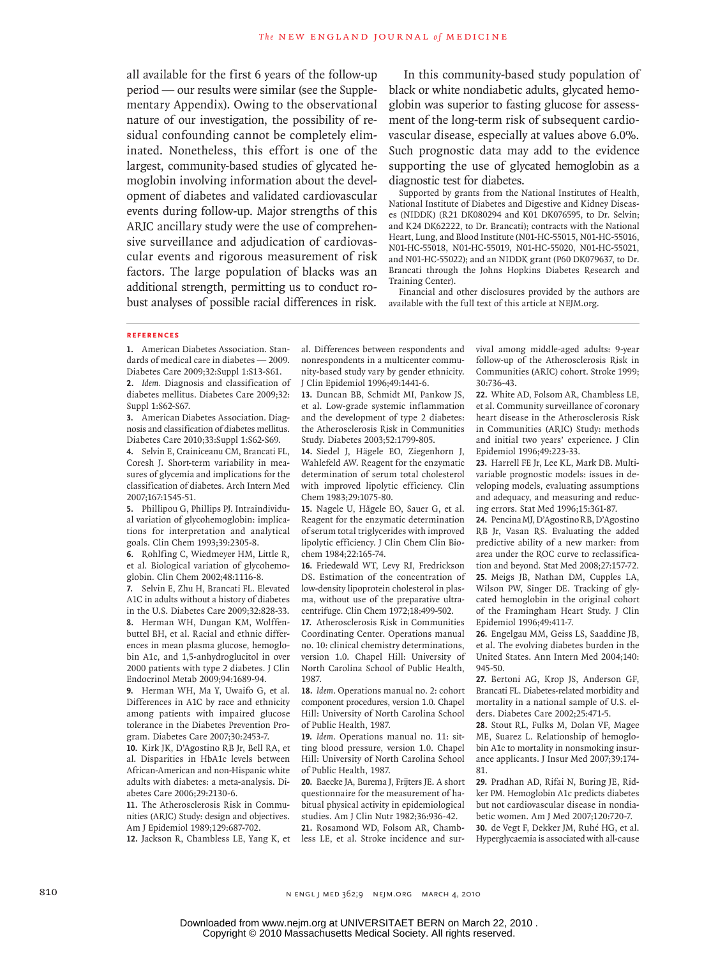all available for the first 6 years of the follow-up period — our results were similar (see the Supplementary Appendix). Owing to the observational nature of our investigation, the possibility of residual confounding cannot be completely eliminated. Nonetheless, this effort is one of the largest, community-based studies of glycated hemoglobin involving information about the development of diabetes and validated cardiovascular events during follow-up. Major strengths of this ARIC ancillary study were the use of comprehensive surveillance and adjudication of cardiovascular events and rigorous measurement of risk factors. The large population of blacks was an additional strength, permitting us to conduct robust analyses of possible racial differences in risk.

In this community-based study population of black or white nondiabetic adults, glycated hemoglobin was superior to fasting glucose for assessment of the long-term risk of subsequent cardiovascular disease, especially at values above 6.0%. Such prognostic data may add to the evidence supporting the use of glycated hemoglobin as a diagnostic test for diabetes.

Supported by grants from the National Institutes of Health, National Institute of Diabetes and Digestive and Kidney Diseases (NIDDK) (R21 DK080294 and K01 DK076595, to Dr. Selvin; and K24 DK62222, to Dr. Brancati); contracts with the National Heart, Lung, and Blood Institute (N01-HC-55015, N01-HC-55016, N01-HC-55018, N01-HC-55019, N01-HC-55020, N01-HC-55021, and N01-HC-55022); and an NIDDK grant (P60 DK079637, to Dr. Brancati through the Johns Hopkins Diabetes Research and Training Center).

Financial and other disclosures provided by the authors are available with the full text of this article at NEJM.org.

#### **References**

**1.** American Diabetes Association. Standards of medical care in diabetes — 2009. Diabetes Care 2009;32:Suppl 1:S13-S61. **2.** *Idem.* Diagnosis and classification of

diabetes mellitus. Diabetes Care 2009;32: Suppl 1:S62-S67.

**3.** American Diabetes Association. Diagnosis and classification of diabetes mellitus. Diabetes Care 2010;33:Suppl 1:S62-S69.

**4.** Selvin E, Crainiceanu CM, Brancati FL, Coresh J. Short-term variability in measures of glycemia and implications for the classification of diabetes. Arch Intern Med 2007;167:1545-51.

**5.** Phillipou G, Phillips PJ. Intraindividual variation of glycohemoglobin: implications for interpretation and analytical goals. Clin Chem 1993;39:2305-8.

**6.** Rohlfing C, Wiedmeyer HM, Little R, et al. Biological variation of glycohemoglobin. Clin Chem 2002;48:1116-8.

**7.** Selvin E, Zhu H, Brancati FL. Elevated A1C in adults without a history of diabetes in the U.S. Diabetes Care 2009;32:828-33. **8.** Herman WH, Dungan KM, Wolffenbuttel BH, et al. Racial and ethnic differences in mean plasma glucose, hemoglobin A1c, and 1,5-anhydroglucitol in over 2000 patients with type 2 diabetes. J Clin Endocrinol Metab 2009;94:1689-94.

**9.** Herman WH, Ma Y, Uwaifo G, et al. Differences in A1C by race and ethnicity among patients with impaired glucose tolerance in the Diabetes Prevention Program. Diabetes Care 2007;30:2453-7.

**10.** Kirk JK, D'Agostino RB Jr, Bell RA, et al. Disparities in HbA1c levels between African-American and non-Hispanic white adults with diabetes: a meta-analysis. Diabetes Care 2006;29:2130-6.

**11.** The Atherosclerosis Risk in Communities (ARIC) Study: design and objectives. Am J Epidemiol 1989;129:687-702.

**12.** Jackson R, Chambless LE, Yang K, et

al. Differences between respondents and nonrespondents in a multicenter community-based study vary by gender ethnicity. J Clin Epidemiol 1996;49:1441-6.

**13.** Duncan BB, Schmidt MI, Pankow JS, et al. Low-grade systemic inflammation and the development of type 2 diabetes: the Atherosclerosis Risk in Communities Study. Diabetes 2003;52:1799-805.

**14.** Siedel J, Hägele EO, Ziegenhorn J, Wahlefeld AW. Reagent for the enzymatic determination of serum total cholesterol with improved lipolytic efficiency. Clin Chem 1983;29:1075-80.

**15.** Nagele U, Hägele EO, Sauer G, et al. Reagent for the enzymatic determination of serum total triglycerides with improved lipolytic efficiency. J Clin Chem Clin Biochem 1984;22:165-74.

**16.** Friedewald WT, Levy RI, Fredrickson DS. Estimation of the concentration of low-density lipoprotein cholesterol in plasma, without use of the preparative ultracentrifuge. Clin Chem 1972;18:499-502.

**17.** Atherosclerosis Risk in Communities Coordinating Center. Operations manual no. 10: clinical chemistry determinations, version 1.0. Chapel Hill: University of North Carolina School of Public Health, 1987.

**18.** *Idem*. Operations manual no. 2: cohort component procedures, version 1.0. Chapel Hill: University of North Carolina School of Public Health, 1987.

**19.** *Idem*. Operations manual no. 11: sitting blood pressure, version 1.0. Chapel Hill: University of North Carolina School of Public Health, 1987.

**20.** Baecke JA, Burema J, Frijters JE. A short questionnaire for the measurement of habitual physical activity in epidemiological studies. Am J Clin Nutr 1982;36:936-42. **21.** Rosamond WD, Folsom AR, Chambless LE, et al. Stroke incidence and survival among middle-aged adults: 9-year follow-up of the Atherosclerosis Risk in Communities (ARIC) cohort. Stroke 1999; 30:736-43.

**22.** White AD, Folsom AR, Chambless LE, et al. Community surveillance of coronary heart disease in the Atherosclerosis Risk in Communities (ARIC) Study: methods and initial two years' experience. J Clin Epidemiol 1996;49:223-33.

**23.** Harrell FE Jr, Lee KL, Mark DB. Multivariable prognostic models: issues in developing models, evaluating assumptions and adequacy, and measuring and reducing errors. Stat Med 1996;15:361-87.

**24.** Pencina MJ, D'Agostino RB, D'Agostino RB Jr, Vasan RS. Evaluating the added predictive ability of a new marker: from area under the ROC curve to reclassification and beyond. Stat Med 2008;27:157-72. **25.** Meigs JB, Nathan DM, Cupples LA, Wilson PW, Singer DE. Tracking of glycated hemoglobin in the original cohort of the Framingham Heart Study. J Clin Epidemiol 1996;49:411-7.

**26.** Engelgau MM, Geiss LS, Saaddine JB, et al. The evolving diabetes burden in the United States. Ann Intern Med 2004;140: 945-50.

**27.** Bertoni AG, Krop JS, Anderson GF, Brancati FL. Diabetes-related morbidity and mortality in a national sample of U.S. elders. Diabetes Care 2002;25:471-5.

**28.** Stout RL, Fulks M, Dolan VF, Magee ME, Suarez L. Relationship of hemoglobin A1c to mortality in nonsmoking insurance applicants. J Insur Med 2007;39:174- 81.

**29.** Pradhan AD, Rifai N, Buring JE, Ridker PM. Hemoglobin A1c predicts diabetes but not cardiovascular disease in nondiabetic women. Am J Med 2007;120:720-7. **30.** de Vegt F, Dekker JM, Ruhé HG, et al. Hyperglycaemia is associated with all-cause